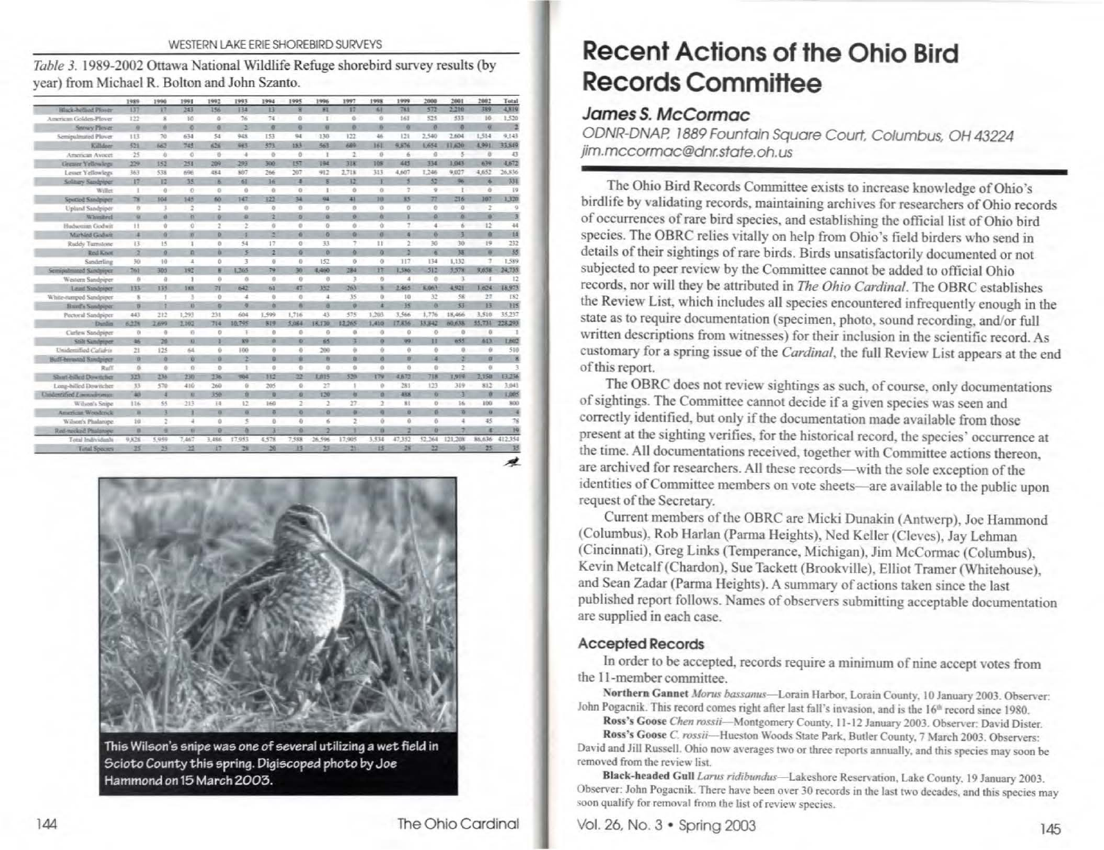#### WESTERN LAKE ERIE SHOREBIRD SURVEYS

Table 3. 1989-2002 Ottawa National Wildlife Refuge shorebird survey results (by vear) from Michael R. Bolton and John Szanto.

|                                | 1989                    | 1998                 | 1991     | 1992           | 1993           | 1994              | 1995            | 1996           | 1997           | 1998            | 1999                | 2008                | 2001           | 2002           | Total    |
|--------------------------------|-------------------------|----------------------|----------|----------------|----------------|-------------------|-----------------|----------------|----------------|-----------------|---------------------|---------------------|----------------|----------------|----------|
| <b>Black-helling Ployer</b>    | 137                     | 17                   | 243      | 156            | 134            | 33                | я               | <b>BI</b>      | 17             | 61              | 781                 | 572                 | 2,210          | 389            | 4,819    |
| American Golden-Ployer         | 122                     | ×                    | 10       | ö              | 76             | 74                | $\alpha$        | x              | $\alpha$       | O.              | 161                 | 525                 | 533            | 16             | 1,520    |
| Service Plenet                 | $\alpha$                | W                    | ø        | $\sigma$       | z              | ×                 | $\overline{a}$  | $\overline{a}$ | $\alpha$       | iv.             | w                   | ø                   | $\sigma$       | $\overline{a}$ | E        |
| Semipulinated Plover           | 113                     | 70                   | 634      | 54             | 948            | 153               | 94              | 130            | 122            | 46              | 121                 | 2.540               | 2.604          | 1,514          | 9,143    |
| Killdeer                       | 521                     | 667                  | 743      | 626            | 493            | 373               | 153             | 563            | 684            | 363             | 9,876               | 1,654               | 11.620         | 1991           | 33, 549  |
| American Avocet                | 25                      | $-a$                 | $-6$     | $\overline{0}$ | $\Delta$       | $\circ$           | $\theta$        | $\mathbf{r}$   | 2              | 8               | $\leq$              | a                   | $\overline{5}$ | $\overline{B}$ | 43       |
| Greater Yellowlegs             | 229                     | 152                  | 251      | 209            | 293            | 500               | 137             | 194            | 318            | 105             | 445                 | 334                 | 1,043          | 639            | 4,672    |
| Lesser Yellowlegs              | 363                     | 538                  | 696      | 484            | 807            | 266               | 207             | 912            | 2.718          | 313             | 4,607               | 1,246               | 9.027          | 4,652          | 26.836   |
| Solitary Sandriper             | 17                      | 12                   | 35       | 医              | 61             | 36                | и               | $\overline{8}$ | 12             | x               | s                   | 52                  | 96             | ä              | 331      |
| Willet                         | х                       | $\theta$             | $\Omega$ | $\sigma$       | ü              | $\ddot{\alpha}$   | $\alpha$        | х              | o              | $\alpha$        | $\sigma$            | $\overline{9}$      | т              | $\alpha$       | 19       |
| Strutted Sandpiper             | $\overline{\mathbf{z}}$ | 104                  | 145      | 66             | 147            | 322               | 34              | 94             | 41             | 10              | 85                  | 77                  | 216            | 107            | 1,320    |
| Upland Sandpiper               | <b>b</b>                | $\overline{3}$       | 2        | ż              | $\Omega$       | ö                 | o               | o              | ö.             | o               | $\alpha$            | $\theta$            | O.             | 2              | $\alpha$ |
| Whenheel                       | w                       | $\mathfrak{a}$       | <b>W</b> | $\circ$        | a.             | $\overline{z}$    | ø.              | ø.             | $\alpha$       | W               | x                   | Ø.                  | W.             | $\Omega$       | 3        |
| Hadsonian Godwit               | 11                      | <b>b</b>             | o        | $\overline{2}$ | $\overline{z}$ | ö                 | o               | n.             | ä              | $\alpha$        | Y.                  | $\overline{4}$      | к              | 12             | 44       |
| Marbled Godwit                 | ×                       | <b>o</b>             | n        | ö              | ×              | ы                 | $\alpha$        | o.             | ö.             | ä               | ä                   | $\alpha$            | з              | 資              | H.       |
| Roddy Turnstone                | ì3                      | 15                   | 1        | O.             | 54             | 17                | $\sigma$        | 33             | ÷              | H               | íż.                 | 30                  | 30             | 19             | 232      |
| Red Knot                       | a                       | $\overline{\Omega}$  | n        | B.             | $\overline{5}$ | $\overline{2}$    | $\alpha$        | $\alpha$       | o.             | $\alpha$        | b                   | ä                   | 38             | 'n             | 38       |
| Sanderling                     | 30                      | 10                   | A        | ō              | 3              | $\overline{0}$    | $\Omega$        | 152            | O.             | $\alpha$        | 117                 | 134                 | 1,132          | J.             | 1,589    |
| Semipalmated Sandpiper         | 261                     | 305                  | 192      | 麦              | 1,265          | 79                | 30 <sub>2</sub> | 4,460          | 784            | $\overline{17}$ | <b>E586</b>         | 310                 | 5.578          | 9,638          | 24,735   |
| Western Sandpiper              | s.                      | $\Omega$             | 1        | $\alpha$       | $\alpha$       | 0                 | $\Omega$        | O.             | 3              | <b>O</b>        | а                   | $\alpha$            | $\rightarrow$  | $\mathbf{f}$   | 12       |
| Least Sandpiper                | 133                     | 135                  | 188      | $\overline{a}$ | 642            | 61                | 47              | 332            | 263            | ×               | 2.465               | 5,061               | 4928           | 1.624          | 18,973   |
| White-rumped Sandpiper         | $\bf{8}$                |                      | 3        | ö              | 4              | $\ddot{\text{o}}$ | $\alpha$        | $\ddot{a}$     | 35             | $\theta$        | 10                  | 32                  | $^{58}$        | 27             | 182      |
| Huinf's Sandpiper              | ø                       |                      | ×        | ×              | ю              | a                 | n.              | ĸ              | ø.             | ×               | 35                  | 存                   | 33             | is.            | H5       |
| Pectoral Sandpiper             | 443                     | 212                  | 1,293    | 231            | 604            | 1,599             | E.716           | 43             | 575            | 1,203           | 3.566               | 1,776               | 18,466         | 3,510          | 35.237   |
| Dunlin                         | 6.32%                   | 2,699                | 2,102    | 714            | 10,795         | 819               | 5.084           | 18,130         | 12.265         | 1,410           | 17.836              | 33,842              | 60,638         | 55,731         | 228,293  |
| Curlew Sandniner               | <b>O</b>                | $\ddot{\phantom{0}}$ | 0        | o              | Ŧ              | $\overline{0}$    | O.              | ö              | 0              | $\alpha$        | $\ddot{\mathrm{o}}$ | $\sigma$            | ø              | $\overline{0}$ |          |
| Stilt Sandpiper                | 46                      | 20                   | $\Omega$ | ×              | 89             | $\alpha$          | $\alpha$        | 65             | Ŧ              | $\overline{a}$  | 99                  | п                   | 655            | 60             | L602     |
| Unidentified Cafabia           | 21                      | 125                  | 64       | ö              | 100            | o                 | $\alpha$        | 200            | ü.             | ú.              | o                   | $\theta$            | 0              | $\theta$       | 510      |
| <b>Buff-bermated Sandpiper</b> | 边                       | ø                    | w        | ø              | z              | $\alpha$          | <b>D</b>        | ш              | O.             | w               | W                   | ×                   | ä              | <b>x</b>       | ×        |
| Ruff                           | s                       | ö.                   | $\alpha$ | o              | $\mathbb{R}$   | $\theta$          | $\alpha$        | is.            | is.            | $\alpha$        | ö                   | $\alpha$            | $\overline{2}$ | o              | 3        |
| Shart-cilled Downtcher         | 323                     | 236                  | 230      | 136            | 964            | 112               | 22              | 1,015          | 520            | <b>TTV</b>      | 4,672               | 718                 | 7,919          | 2,150          | 13.236   |
| Long-hilled Dowitcher          | 53                      | 570                  | 410      | 260            | $\alpha$       | 205               | G.              | 27             | x              | ö               | 281                 | 123                 | 319            | 812            | 3.043    |
| Unidentified Linoxuburate      | <b>as</b>               | а                    | x.       | 350            | n.             | o                 | ū.              | 120            | ö              | o               | <b>ARK</b>          | $\overline{\alpha}$ | а              | ø              | 1,005    |
| Wilson's Snipe                 | 116                     | 55                   | 213      | 14             | 12             | 160               | z               | 2              | 27.            | $\mathfrak{D}$  | 81                  | $\sigma$            | 16             | 100            | 800      |
| American Woodcrick             | ъ                       | 3                    | Ŧ        | w              | $\overline{a}$ | 百                 | $\overline{O}$  | $\sigma$       | $\overline{0}$ | <b>a</b>        | x,                  | $\overline{0}$      | 酉              | $\alpha$       | ¥        |
| Wilson's Phalarope             | 10                      | 2                    | ä        | û              | s,             | $\Omega$          | 0               | 6              | $\overline{2}$ | ŭ               | 0                   | $\alpha$            | 4              | 45             | 78       |
| Red-necked Phalanope           | $\overline{a}$          | a                    | ш        | $\alpha$       | a.             | ×                 | ø               | ö.             | ٠              | ×               | э                   | $\alpha$            | э              | ×              | 39       |
| Total Individuals              | 9,826                   | 5,959                | 7,467    | 3,486          | 17.953         | 4.578             | 7,588           | 26,596         | 17,905         | 3,534           | 47,352              | 52.264              | 121.208        | 86,636         | 412.354  |
| <b>Timal Species</b>           | 25                      | $_{23}$              | 丝        | 胜              | 28             | $\infty$          | 15              | 23             | 25             | 15              | 28                  | $^{22}$             | 36             | 25             | 35       |



This Wilson's snipe was one of several utilizing a wet field in Scioto County this spring. Digiscoped photo by Joe Hammond on 15 March 2003.

The Ohio Cardinal

**Recent Actions of the Ohio Bird** Records Committee

# James S. McCormac

ODNR-DNAP, 1889 Fountain Square Court, Columbus, OH 43224 jim.mccormac@dnr.state.oh.us

The Ohio Bird Records Committee exists to increase knowledge of Ohio's birdlife by validating records, maintaining archives for researchers of Ohio records of occurrences of rare bird species, and establishing the official list of Ohio bird species. The OBRC relies vitally on help from Ohio's field birders who send in details of their sightings of rare birds. Birds unsatisfactorily documented or not subjected to peer review by the Committee cannot be added to official Ohio records, nor will they be attributed in The Ohio Cardinal. The OBRC establishes the Review List, which includes all species encountered infrequently enough in the state as to require documentation (specimen, photo, sound recording, and/or full written descriptions from witnesses) for their inclusion in the scientific record. As customary for a spring issue of the Cardinal, the full Review List appears at the end of this report.

The OBRC does not review sightings as such, of course, only documentations of sightings. The Committee cannot decide if a given species was seen and correctly identified, but only if the documentation made available from those present at the sighting verifies, for the historical record, the species' occurrence at the time. All documentations received, together with Committee actions thereon, are archived for researchers. All these records-with the sole exception of the identities of Committee members on vote sheets—are available to the public upon request of the Secretary.

Current members of the OBRC are Micki Dunakin (Antwerp), Joe Hammond (Columbus), Rob Harlan (Parma Heights), Ned Keller (Cleves), Jay Lehman (Cincinnati), Greg Links (Temperance, Michigan), Jim McCormac (Columbus), Kevin Metcalf (Chardon), Sue Tackett (Brookville), Elliot Tramer (Whitehouse), and Sean Zadar (Parma Heights). A summary of actions taken since the last published report follows. Names of observers submitting acceptable documentation are supplied in each case.

### **Accepted Records**

In order to be accepted, records require a minimum of nine accept votes from the 11-member committee.

Northern Gannet Morus bassamus-Lorain Harbor, Lorain County, 10 January 2003. Observer: John Pogacnik. This record comes right after last fall's invasion, and is the 16<sup>th</sup> record since 1980.

Ross's Goose Chen rossii-Montgomery County, 11-12 January 2003. Observer: David Dister. Ross's Goose C. rossii-Hueston Woods State Park, Butler County, 7 March 2003. Observers: David and Jill Russell. Ohio now averages two or three reports annually, and this species may soon be removed from the review list.

Black-headed Gull Larus ridibundus-Lakeshore Reservation, Lake County, 19 January 2003. Observer: John Pogacnik. There have been over 30 records in the last two decades, and this species may soon qualify for removal from the list of review species.

Vol. 26, No. 3 • Spring 2003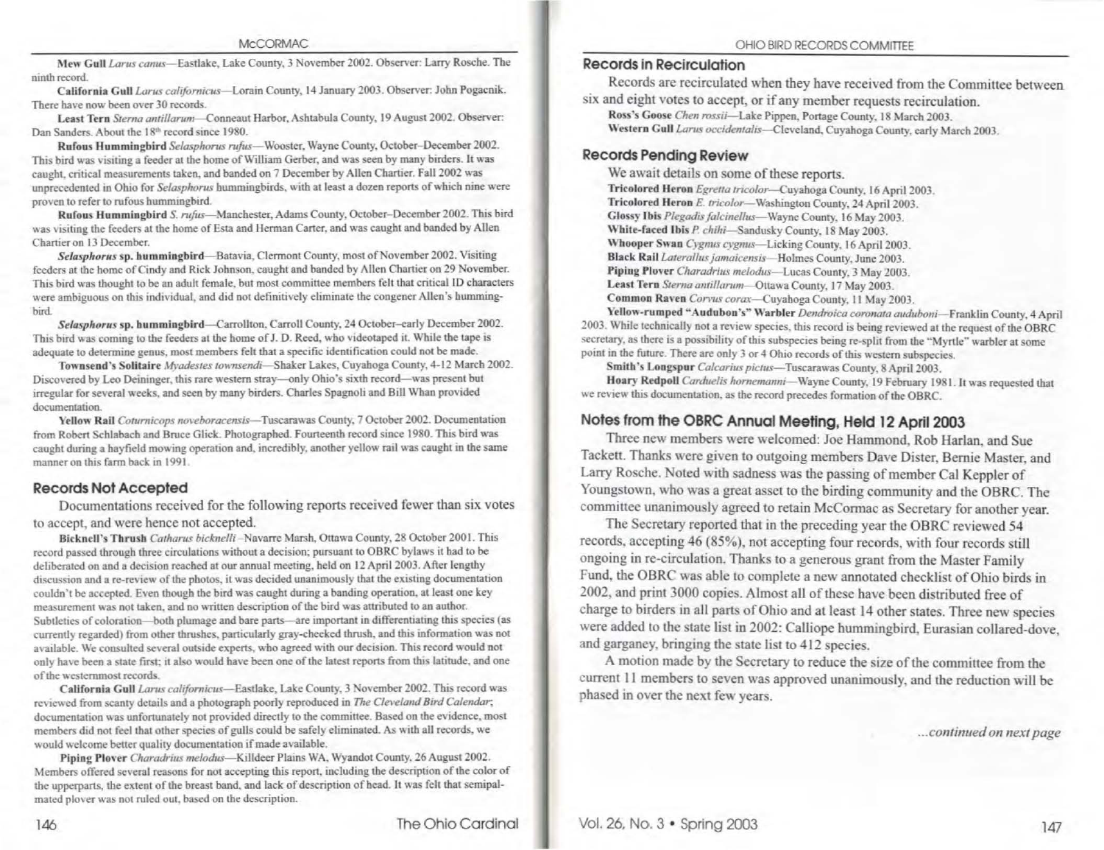Mew Gull Larus canus-Eastlake, Lake County, 3 November 2002, Observer: Larry Rosche, The ninth record.

California Gull Larus californicus-Lorain County, 14 January 2003. Observer: John Pogacnik. There have now been over 30 records.

Least Tern Sterna antillarum—Conneaut Harbor, Ashtabula County, 19 August 2002. Observer: Dan Sanders. About the 18th record since 1980.

Rufous Hummingbird Selasphorus rufus—Wooster, Wayne County, October-December 2002. This bird was visiting a feeder at the home of William Gerber, and was seen by many birders. It was caught, critical measurements taken, and banded on 7 December by Allen Chartier. Fall 2002 was unprecedented in Ohio for Selasphorus hummingbirds, with at least a dozen reports of which nine were proven to refer to rufous hummingbird.

Rufous Hummingbird S. rufus—Manchester, Adams County, October-December 2002. This bird was visiting the feeders at the home of Esta and Herman Carter, and was caught and banded by Allen Chartier on 13 December.

Selasphorus sp. hummingbird—Batavia, Clermont County, most of November 2002. Visiting feeders at the home of Cindy and Rick Johnson, caught and banded by Allen Chartier on 29 November. This bird was thought to be an adult female, but most committee members felt that critical ID characters were ambiguous on this individual, and did not definitively eliminate the congener Allen's hummingbird.

Selasphorus sp. hummingbird—Carrollton, Carroll County, 24 October-early December 2002. This bird was coming to the feeders at the home of J. D. Reed, who videotaped it. While the tape is adequate to determine genus, most members felt that a specific identification could not be made.

Townsend's Solitaire Myadestes townsendi-Shaker Lakes, Cuyahoga County, 4-12 March 2002. Discovered by Leo Deininger, this rare western stray—only Ohio's sixth record—was present but irregular for several weeks, and seen by many birders. Charles Spagnoli and Bill Whan provided documentation.

Yellow Rail Coturnicops noveboracensis-Tuscarawas County, 7 October 2002. Documentation from Robert Schlabach and Bruce Glick. Photographed. Fourteenth record since 1980. This bird was caught during a hayfield mowing operation and, incredibly, another yellow rail was caught in the same manner on this farm back in 1991.

### **Records Not Accepted**

Documentations received for the following reports received fewer than six votes to accept, and were hence not accepted.

Bicknell's Thrush Catharus bicknelli-Navarre Marsh, Ottawa County, 28 October 2001. This record passed through three circulations without a decision; pursuant to OBRC bylaws it had to be deliberated on and a decision reached at our annual meeting, held on 12 April 2003. After lengthy discussion and a re-review of the photos, it was decided unanimously that the existing documentation couldn't be accepted. Even though the bird was caught during a banding operation, at least one key measurement was not taken, and no written description of the bird was attributed to an author. Subtleties of coloration—both plumage and bare parts—are important in differentiating this species (as currently regarded) from other thrushes, particularly gray-cheeked thrush, and this information was not available. We consulted several outside experts, who agreed with our decision. This record would not only have been a state first; it also would have been one of the latest reports from this latitude, and one of the westernmost records.

California Gull Larus californicus—Eastlake, Lake County, 3 November 2002. This record was reviewed from scanty details and a photograph poorly reproduced in The Cleveland Bird Calendar; documentation was unfortunately not provided directly to the committee. Based on the evidence, most members did not feel that other species of gulls could be safely eliminated. As with all records, we would welcome better quality documentation if made available.

Piping Plover Charadrius melodus—Killdeer Plains WA, Wyandot County, 26 August 2002. Members offered several reasons for not accepting this report, including the description of the color of the upperparts, the extent of the breast band, and lack of description of head. It was felt that semipalmated plover was not ruled out, based on the description.

# **Records in Recirculation**

Records are recirculated when they have received from the Committee between six and eight votes to accept, or if any member requests recirculation.

Ross's Goose Chen rossii-Lake Pippen, Portage County, 18 March 2003. Western Gull Larus occidentalis-Cleveland, Cuvahoga County, early March 2003.

## **Records Pending Review**

We await details on some of these reports.

Tricolored Heron Egretta tricolor-Cuvahoga County, 16 April 2003. Tricolored Heron E. tricolor-Washington County, 24 April 2003. Glossy Ibis Plegadis falcinellus-Wayne County, 16 May 2003. White-faced Ibis P. chihi-Sandusky County, 18 May 2003. Whooper Swan Cygmus cygmus-Licking County, 16 April 2003. Black Rail Laterallus jamaicensis-Holmes County, June 2003.

Piping Plover Charadrius melodus-Lucas County, 3 May 2003.

Least Tern Sterna antillarum-Ottawa County, 17 May 2003.

Common Raven Corvus corax-Cuyahoga County, 11 May 2003.

Yellow-rumped "Audubon's" Warbler Dendroica coronata auduboni-Franklin County, 4 April 2003. While technically not a review species, this record is being reviewed at the request of the OBRC. secretary, as there is a possibility of this subspecies being re-split from the "Myrtle" warbler at some point in the future. There are only 3 or 4 Ohio records of this western subspecies.

Smith's Longspur Calcarius pictus-Tuscarawas County, 8 April 2003.

Hoary Redpoll Carduelis hornemanni-Wayne County, 19 February 1981. It was requested that we review this documentation, as the record precedes formation of the OBRC.

# Notes from the OBRC Annual Meeting, Held 12 April 2003

Three new members were welcomed: Joe Hammond, Rob Harlan, and Sue Tackett. Thanks were given to outgoing members Dave Dister, Bernie Master, and Larry Rosche. Noted with sadness was the passing of member Cal Keppler of Youngstown, who was a great asset to the birding community and the OBRC. The committee unanimously agreed to retain McCormac as Secretary for another year.

The Secretary reported that in the preceding year the OBRC reviewed 54 records, accepting 46 (85%), not accepting four records, with four records still ongoing in re-circulation. Thanks to a generous grant from the Master Family Fund, the OBRC was able to complete a new annotated checklist of Ohio birds in 2002, and print 3000 copies. Almost all of these have been distributed free of charge to birders in all parts of Ohio and at least 14 other states. Three new species were added to the state list in 2002: Calliope hummingbird, Eurasian collared-dove, and garganey, bringing the state list to 412 species.

A motion made by the Secretary to reduce the size of the committee from the current 11 members to seven was approved unanimously, and the reduction will be phased in over the next few years.

...continued on next page